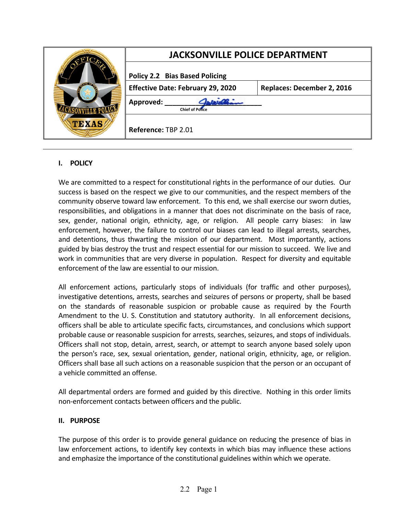| $\sqrt{100}$<br>TEXAS | <b>JACKSONVILLE POLICE DEPARTMENT</b>    |                            |
|-----------------------|------------------------------------------|----------------------------|
|                       | <b>Policy 2.2 Bias Based Policing</b>    |                            |
|                       | <b>Effective Date: February 29, 2020</b> | Replaces: December 2, 2016 |
|                       | Approved:<br><b>Chief of Police</b>      |                            |
|                       | Reference: TBP 2.01                      |                            |

# **I. POLICY**

We are committed to a respect for constitutional rights in the performance of our duties. Our success is based on the respect we give to our communities, and the respect members of the community observe toward law enforcement. To this end, we shall exercise our sworn duties, responsibilities, and obligations in a manner that does not discriminate on the basis of race, sex, gender, national origin, ethnicity, age, or religion. All people carry biases: in law enforcement, however, the failure to control our biases can lead to illegal arrests, searches, and detentions, thus thwarting the mission of our department. Most importantly, actions guided by bias destroy the trust and respect essential for our mission to succeed. We live and work in communities that are very diverse in population. Respect for diversity and equitable enforcement of the law are essential to our mission.

All enforcement actions, particularly stops of individuals (for traffic and other purposes), investigative detentions, arrests, searches and seizures of persons or property, shall be based on the standards of reasonable suspicion or probable cause as required by the Fourth Amendment to the U. S. Constitution and statutory authority. In all enforcement decisions, officers shall be able to articulate specific facts, circumstances, and conclusions which support probable cause or reasonable suspicion for arrests, searches, seizures, and stops of individuals. Officers shall not stop, detain, arrest, search, or attempt to search anyone based solely upon the person's race, sex, sexual orientation, gender, national origin, ethnicity, age, or religion. Officers shall base all such actions on a reasonable suspicion that the person or an occupant of a vehicle committed an offense.

All departmental orders are formed and guided by this directive. Nothing in this order limits non-enforcement contacts between officers and the public.

#### **II. PURPOSE**

The purpose of this order is to provide general guidance on reducing the presence of bias in law enforcement actions, to identify key contexts in which bias may influence these actions and emphasize the importance of the constitutional guidelines within which we operate.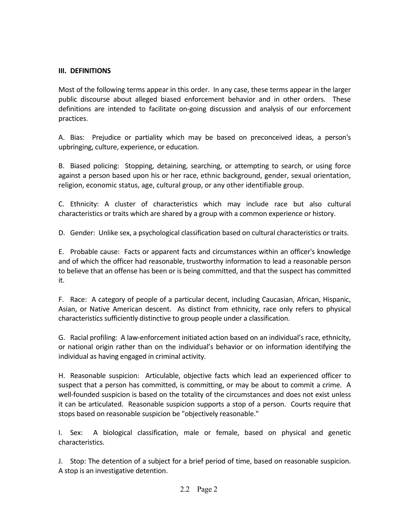#### **III. DEFINITIONS**

Most of the following terms appear in this order. In any case, these terms appear in the larger public discourse about alleged biased enforcement behavior and in other orders. These definitions are intended to facilitate on-going discussion and analysis of our enforcement practices.

A. Bias: Prejudice or partiality which may be based on preconceived ideas, a person's upbringing, culture, experience, or education.

B. Biased policing: Stopping, detaining, searching, or attempting to search, or using force against a person based upon his or her race, ethnic background, gender, sexual orientation, religion, economic status, age, cultural group, or any other identifiable group.

C. Ethnicity: A cluster of characteristics which may include race but also cultural characteristics or traits which are shared by a group with a common experience or history.

D. Gender: Unlike sex, a psychological classification based on cultural characteristics or traits.

E. Probable cause: Facts or apparent facts and circumstances within an officer's knowledge and of which the officer had reasonable, trustworthy information to lead a reasonable person to believe that an offense has been or is being committed, and that the suspect has committed it.

F. Race: A category of people of a particular decent, including Caucasian, African, Hispanic, Asian, or Native American descent. As distinct from ethnicity, race only refers to physical characteristics sufficiently distinctive to group people under a classification.

G. Racial profiling: A law-enforcement initiated action based on an individual's race, ethnicity, or national origin rather than on the individual's behavior or on information identifying the individual as having engaged in criminal activity.

H. Reasonable suspicion: Articulable, objective facts which lead an experienced officer to suspect that a person has committed, is committing, or may be about to commit a crime. A well-founded suspicion is based on the totality of the circumstances and does not exist unless it can be articulated. Reasonable suspicion supports a stop of a person. Courts require that stops based on reasonable suspicion be "objectively reasonable."

I. Sex: A biological classification, male or female, based on physical and genetic characteristics.

J. Stop: The detention of a subject for a brief period of time, based on reasonable suspicion. A stop is an investigative detention.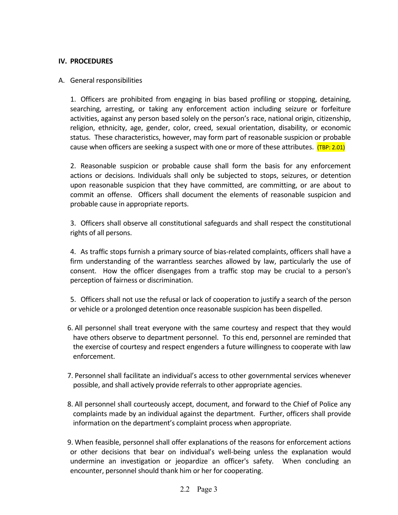### **IV. PROCEDURES**

### A. General responsibilities

1. Officers are prohibited from engaging in bias based profiling or stopping, detaining, searching, arresting, or taking any enforcement action including seizure or forfeiture activities, against any person based solely on the person's race, national origin, citizenship, religion, ethnicity, age, gender, color, creed, sexual orientation, disability, or economic status. These characteristics, however, may form part of reasonable suspicion or probable cause when officers are seeking a suspect with one or more of these attributes. (TBP: 2.01)

2. Reasonable suspicion or probable cause shall form the basis for any enforcement actions or decisions. Individuals shall only be subjected to stops, seizures, or detention upon reasonable suspicion that they have committed, are committing, or are about to commit an offense. Officers shall document the elements of reasonable suspicion and probable cause in appropriate reports.

3. Officers shall observe all constitutional safeguards and shall respect the constitutional rights of all persons.

4. As traffic stops furnish a primary source of bias-related complaints, officers shall have a firm understanding of the warrantless searches allowed by law, particularly the use of consent. How the officer disengages from a traffic stop may be crucial to a person's perception of fairness or discrimination.

5. Officers shall not use the refusal or lack of cooperation to justify a search of the person or vehicle or a prolonged detention once reasonable suspicion has been dispelled.

- 6. All personnel shall treat everyone with the same courtesy and respect that they would have others observe to department personnel. To this end, personnel are reminded that the exercise of courtesy and respect engenders a future willingness to cooperate with law enforcement.
- 7. Personnel shall facilitate an individual's access to other governmental services whenever possible, and shall actively provide referrals to other appropriate agencies.
- 8. All personnel shall courteously accept, document, and forward to the Chief of Police any complaints made by an individual against the department. Further, officers shall provide information on the department's complaint process when appropriate.
- 9. When feasible, personnel shall offer explanations of the reasons for enforcement actions or other decisions that bear on individual's well-being unless the explanation would undermine an investigation or jeopardize an officer's safety. When concluding an encounter, personnel should thank him or her for cooperating.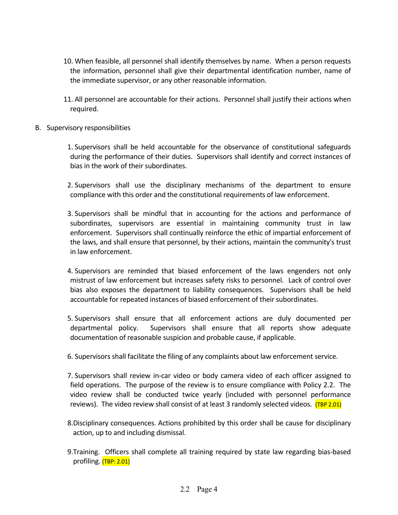- 10. When feasible, all personnel shall identify themselves by name. When a person requests the information, personnel shall give their departmental identification number, name of the immediate supervisor, or any other reasonable information.
- 11. All personnel are accountable for their actions. Personnel shall justify their actions when required.
- B. Supervisory responsibilities
	- 1. Supervisors shall be held accountable for the observance of constitutional safeguards during the performance of their duties. Supervisors shall identify and correct instances of bias in the work of their subordinates.
	- 2. Supervisors shall use the disciplinary mechanisms of the department to ensure compliance with this order and the constitutional requirements of law enforcement.
	- 3. Supervisors shall be mindful that in accounting for the actions and performance of subordinates, supervisors are essential in maintaining community trust in law enforcement. Supervisors shall continually reinforce the ethic of impartial enforcement of the laws, and shall ensure that personnel, by their actions, maintain the community's trust in law enforcement.
	- 4. Supervisors are reminded that biased enforcement of the laws engenders not only mistrust of law enforcement but increases safety risks to personnel. Lack of control over bias also exposes the department to liability consequences. Supervisors shall be held accountable for repeated instances of biased enforcement of their subordinates.
	- 5. Supervisors shall ensure that all enforcement actions are duly documented per departmental policy. Supervisors shall ensure that all reports show adequate documentation of reasonable suspicion and probable cause, if applicable.
	- 6. Supervisors shall facilitate the filing of any complaints about law enforcement service.
	- 7. Supervisors shall review in-car video or body camera video of each officer assigned to field operations. The purpose of the review is to ensure compliance with Policy 2.2. The video review shall be conducted twice yearly (included with personnel performance reviews). The video review shall consist of at least 3 randomly selected videos.  $(TBP 2.01)$
	- 8.Disciplinary consequences. Actions prohibited by this order shall be cause for disciplinary action, up to and including dismissal.
	- 9.Training. Officers shall complete all training required by state law regarding bias-based profiling. (TBP: 2.01)